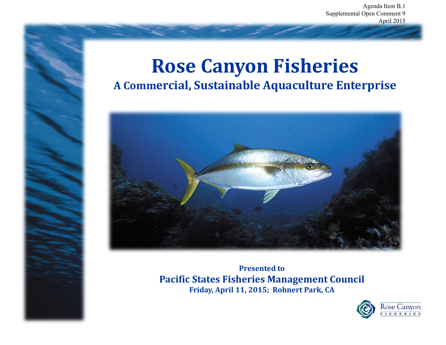Agenda Item B.1 Supplemental Open Comment 9 April 2015

### **Rose Canyon Fisheries A Commercial, Sustainable Aquaculture Enterprise**



**Presented to Pacific States Fisheries Management Council Friday, April 11, 2015; Rohnert Park, CA**

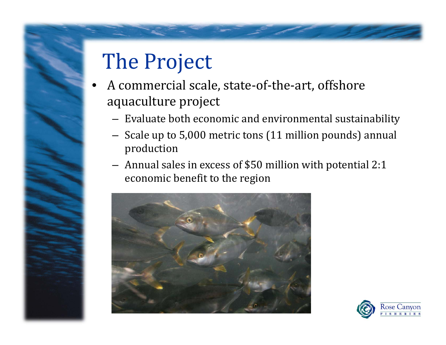# The Project

- •A commercial scale, state-of-the-art, offshore aquaculture project
	- $-$  Evaluate both economic and environmental sustainability  $\,$
	- $-$  Scale up to 5,000 metric tons (11 million pounds) annual production
	- $-$  Annual sales in excess of \$50 million with potential 2:1 economic benefit to the region



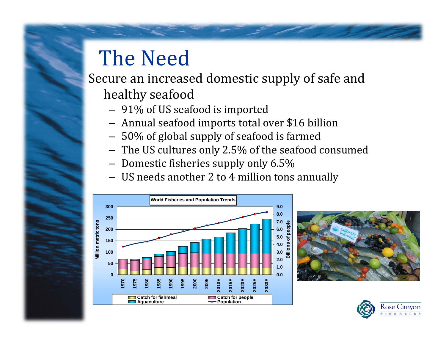## The Need

#### Secure an increased domestic supply of safe and healthy seafood

- $-$  91% of US seafood is imported  $\,$
- $-$  Annual seafood imports total over \$16 billion
- $-$  50% of global supply of seafood is farmed
- $-$  The US cultures only 2.5% of the seafood consumed
- $-$  Domestic fisheries supply only 6.5%
- $-$  US needs another 2 to 4 million tons annually





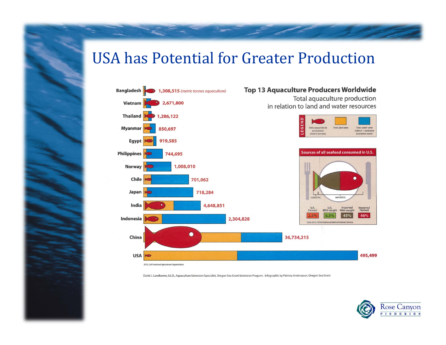#### USA has Potential for Greater Production



David J. Landkamer, Ed.D., Aquaculture Extension Specialist, Oregon Sea Grant Extension Program. Infographic by Patricia Anderssson, Oregon Sea Grant

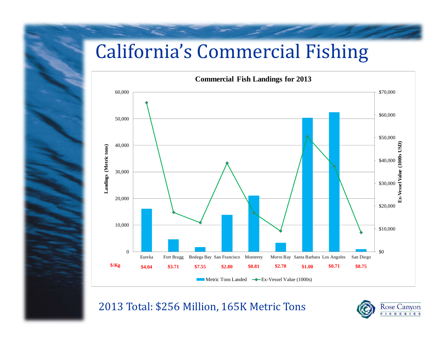### **California's Commercial Fishing**



2013 Total: \$256 Million, 165K Metric Tons